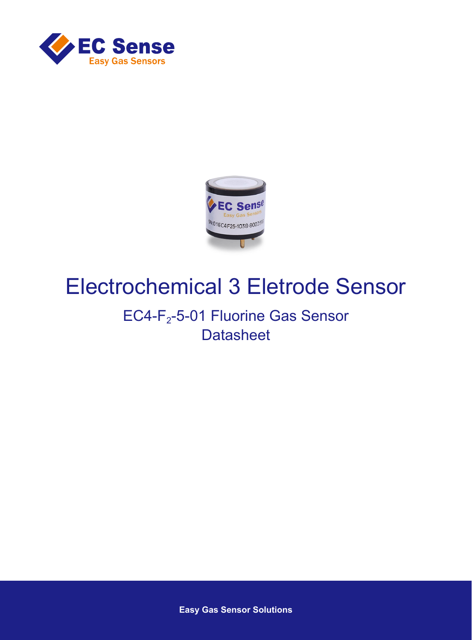



# Electrochemical 3 Eletrode Sensor

## EC4-F<sub>2</sub>-5-01 Fluorine Gas Sensor **Datasheet**

**Easy Gas Sensor Solutions**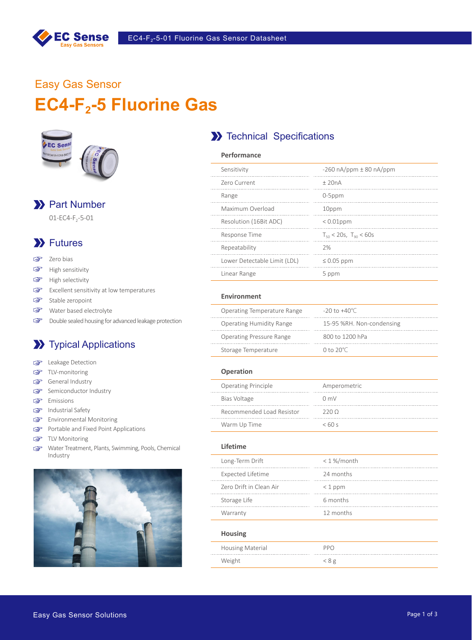

## Easy Gas Sensor EC4-F<sub>2</sub>-5 Fluorine Gas



## >> Part Number

 $01 - EC4-F<sub>2</sub>-5-01$ 

## **XX** Futures

- $\mathbb{F}$ Zero bias
- $\mathbb{Q}$ High sensitivity
- High selectivity  $\mathbb{Q}$
- Excellent sensitivity at low temperatures  $\mathbb{Q}$
- $\mathbb{F}$ Stable zeropoint
- Water based electrolyte
- $\mathbb{Q}$ Double sealed housing for advanced leakage protection

## **XX** Typical Applications

- **Leakage Detection**
- TLV-monitoring  $\mathbb{F}$
- General Industry
- Semiconductor Industry
- **Emissions**
- Industrial Safety
- Environmental Monitoring
- Portable and Fixed Point Applications
- GP TLV Monitoring
- Water Treatment, Plants, Swimming, Pools, Chemical  $\mathbb{F}$ Industry



## **X** Technical Specifications

| Performance                  |                                |
|------------------------------|--------------------------------|
| Sensitivity                  | $-260$ nA/ppm $\pm$ 80 nA/ppm  |
| Zero Current                 | $+20nA$                        |
| Range                        | $0-5$ ppm                      |
| Maximum Overload             | 10ppm                          |
| Resolution (16Bit ADC)       | $< 0.01$ ppm                   |
| Response Time                | $T_{50}$ < 20s, $T_{90}$ < 60s |
| Repeatability                | 2%                             |
| Lower Detectable Limit (LDL) | $\leq 0.05$ ppm                |
| Linear Range                 | 5 ppm                          |
|                              |                                |

#### **Environment**

| Operating Temperature Range     | $-20$ to $+40^{\circ}$ C  |
|---------------------------------|---------------------------|
| <b>Operating Humidity Range</b> | 15-95 %RH. Non-condensing |
| <b>Operating Pressure Range</b> | 800 to 1200 hPa           |
| Storage Temperature             | 0 to $20^{\circ}$ C       |

#### **Operation**

| <b>Operating Principle</b> | Amperometric   |
|----------------------------|----------------|
| Bias Voltage               | $0 \text{ mV}$ |
| Recommended Load Resistor  | 2200           |
| Warm Up Time               | $<$ 60 s       |

#### **Lifetime**

| Long-Term Drift          | $< 1 %$ month |
|--------------------------|---------------|
| <b>Expected Lifetime</b> | 24 months     |
| Zero Drift in Clean Air  | $<$ 1 ppm     |
| Storage Life             | 6 months      |
| Warranty                 | 12 months     |
| <b>Housing</b>           |               |
| <b>Housing Material</b>  | PPO           |
| Weight                   | < 8 g         |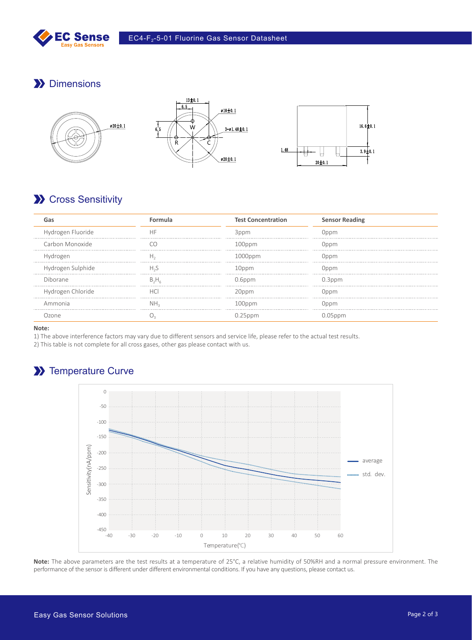

## **Dimensions**



## **X** Cross Sensitivity

|                   |    | <b>Test Concentration</b> | <b>Sensor Reading</b> |
|-------------------|----|---------------------------|-----------------------|
| Hydrogen Fluoride | НF | 3ppm                      | Doom                  |
| Carbon Monoxide   |    | $100$ ppm                 | Oppm                  |
|                   |    | OOOppm) ا                 | Doom                  |
| drogen Sulphide   |    |                           |                       |
| Diborane          |    | $0.6$ ppm                 | 0.3ppm                |
| Hydrogen Chloride |    |                           |                       |
| Ammonia           |    | $I$ $Innn$                |                       |
|                   |    |                           |                       |

**Note:**

1) The above interference factors may vary due to different sensors and service life, please refer to the actual test results.

2) This table is not complete for all cross gases, other gas please contact with us.

## >> Temperature Curve



**Note:** The above parameters are the test results at a temperature of 25°C, a relative humidity of 50%RH and a normal pressure environment. The performance of the sensor is different under different environmental conditions. If you have any questions, please contact us.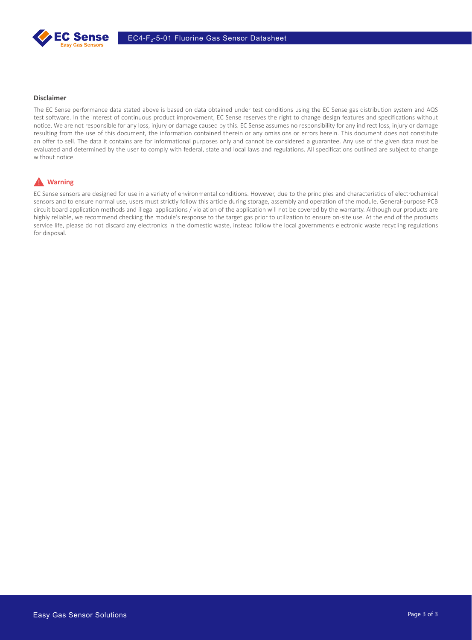

#### **Disclaimer**

The EC Sense performance data stated above is based on data obtained under test conditions using the EC Sense gas distribution system and AQS test software. In the interest of continuous product improvement, EC Sense reserves the right to change design features and specifications without notice. We are not responsible for any loss, injury or damage caused by this. EC Sense assumes no responsibility for any indirect loss, injury or damage resulting from the use of this document, the information contained therein or any omissions or errors herein. This document does not constitute an offer to sell. The data it contains are for informational purposes only and cannot be considered a guarantee. Any use of the given data must be evaluated and determined by the user to comply with federal, state and local laws and regulations. All specifications outlined are subject to change without notice.

### **A** Warning

EC Sense sensors are designed for use in a variety of environmental conditions. However, due to the principles and characteristics of electrochemical sensors and to ensure normal use, users must strictly follow this article during storage, assembly and operation of the module. General-purpose PCB circuit board application methods and illegal applications / violation of the application will not be covered by the warranty. Although our products are highly reliable, we recommend checking the module's response to the target gas prior to utilization to ensure on-site use. At the end of the products service life, please do not discard any electronics in the domestic waste, instead follow the local governments electronic waste recycling regulations for disposal.